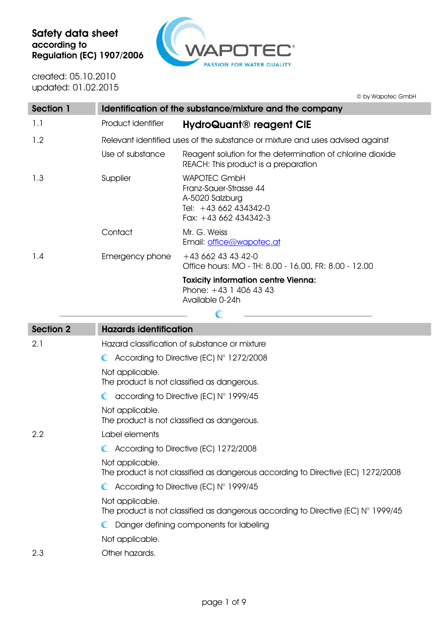

created: 05.10.2010 updated: 01.02.2015

© by Wapotec GmbH

| <b>Section 1</b> |                    | Identification of the substance/mixture and the company                                                            |
|------------------|--------------------|--------------------------------------------------------------------------------------------------------------------|
| 1.1              | Product identifier | <b>HydroQuant® reagent CIE</b>                                                                                     |
| 1.2              |                    | Relevant identified uses of the substance or mixture and uses advised against                                      |
|                  | Use of substance   | Reagent solution for the determination of chlorine dioxide<br>REACH: This product is a preparation                 |
| 1.3              | Supplier           | <b>WAPOTEC GmbH</b><br>Franz-Sauer-Strasse 44<br>A-5020 Salzburg<br>Tel: $+43662434342-0$<br>Fax: $+43662434342-3$ |
|                  | Contact            | Mr. G. Weiss<br>Email: office@wapotec.at                                                                           |
| 1.4              | Emergency phone    | $+43662434342-0$<br>Office hours: MO - TH: 8.00 - 16.00, FR: 8.00 - 12.00                                          |
|                  |                    | <b>Toxicity information centre Vienna:</b><br>Phone: $+43$ 1 406 43 43<br>Available 0-24h                          |
|                  |                    |                                                                                                                    |

| <b>Section 2</b> | <b>Hazards identification</b>                                                                                 |
|------------------|---------------------------------------------------------------------------------------------------------------|
| 2.1              | Hazard classification of substance or mixture                                                                 |
|                  | $\bullet$ According to Directive (EC) $N^{\circ}$ 1272/2008                                                   |
|                  | Not applicable.<br>The product is not classified as dangerous.                                                |
|                  | $\bullet$ according to Directive (EC) N° 1999/45                                                              |
|                  | Not applicable.<br>The product is not classified as dangerous.                                                |
| 2.2              | Label elements                                                                                                |
|                  | C According to Directive (EC) 1272/2008                                                                       |
|                  | Not applicable.<br>The product is not classified as dangerous according to Directive (EC) 1272/2008           |
|                  | $\bullet$ According to Directive (EC) N° 1999/45                                                              |
|                  | Not applicable.<br>The product is not classified as dangerous according to Directive (EC) $N^{\circ}$ 1999/45 |
|                  | Danger defining components for labeling<br>$\mathbb{C}$                                                       |
|                  | Not applicable.                                                                                               |
| 2.3              | Other hazards.                                                                                                |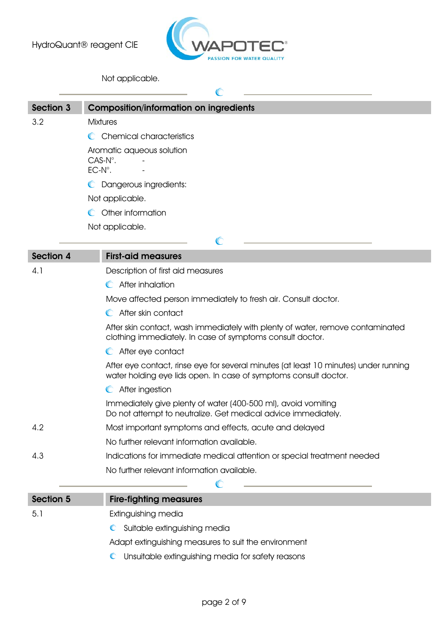

## Not applicable.

| <b>Section 3</b> | <b>Composition/information on ingredients</b>                                                                                                            |
|------------------|----------------------------------------------------------------------------------------------------------------------------------------------------------|
| 3.2              | <b>Mixtures</b>                                                                                                                                          |
|                  | C Chemical characteristics                                                                                                                               |
|                  | Aromatic aqueous solution<br>$CAS-N^\circ$ .<br>$EC-N^\circ$ .                                                                                           |
|                  | C Dangerous ingredients:                                                                                                                                 |
|                  | Not applicable.                                                                                                                                          |
|                  | C Other information                                                                                                                                      |
|                  | Not applicable.                                                                                                                                          |
|                  | C                                                                                                                                                        |
| <b>Section 4</b> | <b>First-aid measures</b>                                                                                                                                |
| 4.1              | Description of first aid measures                                                                                                                        |
|                  | C After inhalation                                                                                                                                       |
|                  | Move affected person immediately to fresh air. Consult doctor.                                                                                           |
|                  | After skin contact                                                                                                                                       |
|                  | After skin contact, wash immediately with plenty of water, remove contaminated<br>clothing immediately. In case of symptoms consult doctor.              |
|                  | C After eye contact                                                                                                                                      |
|                  | After eye contact, rinse eye for several minutes (at least 10 minutes) under running<br>water holding eye lids open. In case of symptoms consult doctor. |
|                  | After ingestion                                                                                                                                          |

Immediately give plenty of water (400-500 ml), avoid vomiting Do not attempt to neutralize. Get medical advice immediately.

- 4.2 Most important symptoms and effects, acute and delayed
	- No further relevant information available.
- 4.3 Indications for immediate medical attention or special treatment needed
	- No further relevant information available.

| <b>Section 5</b> | <b>Fire-fighting measures</b>                        |
|------------------|------------------------------------------------------|
| 5.1              | Extinguishing media                                  |
|                  | C Suitable extinguishing media                       |
|                  | Adapt extinguishing measures to suit the environment |

 $\mathbb{C}$ 

Unsuitable extinguishing media for safety reasons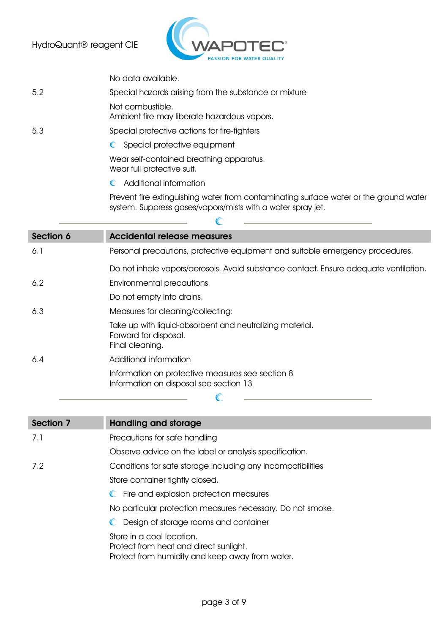

No data available.

## 5.2 Special hazards arising from the substance or mixture

Not combustible.

Ambient fire may liberate hazardous vapors.

- 5.3 Special protective actions for fire-fighters
	- C Special protective equipment

Wear self-contained breathing apparatus. Wear full protective suit.

Additional information

Prevent fire extinguishing water from contaminating surface water or the ground water system. Suppress gases/vapors/mists with a water spray jet.

| Section 6 | <b>Accidental release measures</b>                                                                   |
|-----------|------------------------------------------------------------------------------------------------------|
| 6.1       | Personal precautions, protective equipment and suitable emergency procedures.                        |
|           | Do not inhale vapors/aerosols. Avoid substance contact. Ensure adequate ventilation.                 |
| 6.2       | Environmental precautions                                                                            |
|           | Do not empty into drains.                                                                            |
| 6.3       | Measures for cleaning/collecting:                                                                    |
|           | Take up with liquid-absorbent and neutralizing material.<br>Forward for disposal.<br>Final cleaning. |
| 6.4       | Additional information                                                                               |
|           | Information on protective measures see section 8<br>Information on disposal see section 13           |
|           |                                                                                                      |

 $\mathbb{C}$ 

| Section 7 | <b>Handling and storage</b>                                                                                            |
|-----------|------------------------------------------------------------------------------------------------------------------------|
| 7.1       | Precautions for safe handling                                                                                          |
|           | Observe advice on the label or analysis specification.                                                                 |
| 7.2       | Conditions for safe storage including any incompatibilities                                                            |
|           | Store container tightly closed.                                                                                        |
|           | C Fire and explosion protection measures                                                                               |
|           | No particular protection measures necessary. Do not smoke.                                                             |
|           | C Design of storage rooms and container                                                                                |
|           | Store in a cool location.<br>Protect from heat and direct sunlight.<br>Protect from humidity and keep away from water. |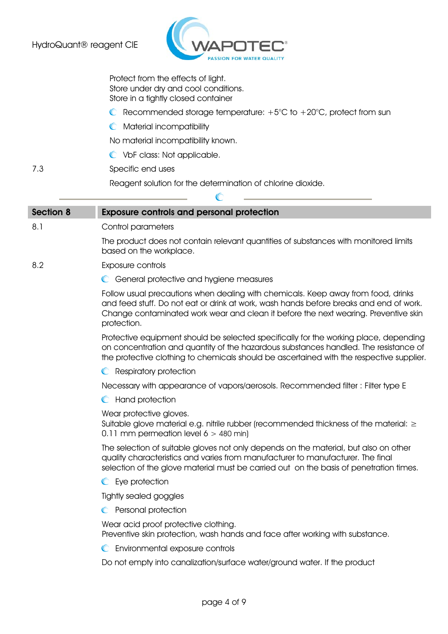

Protect from the effects of light. Store under dry and cool conditions. Store in a tightly closed container

- C Recommended storage temperature:  $+5^{\circ}$ C to  $+20^{\circ}$ C, protect from sun
- **C** Material incompatibility

No material incompatibility known.

- VbF class: Not applicable.
- 7.3 Specific end uses

 Reagent solution for the determination of chlorine dioxide.  $\mathbb{C}$ 

| <b>Section 8</b> | <b>Exposure controls and personal protection</b>                                                                                                                                                                                                                                  |
|------------------|-----------------------------------------------------------------------------------------------------------------------------------------------------------------------------------------------------------------------------------------------------------------------------------|
| 8.1              | Control parameters                                                                                                                                                                                                                                                                |
|                  | The product does not contain relevant quantities of substances with monitored limits<br>based on the workplace.                                                                                                                                                                   |
| 8.2              | Exposure controls                                                                                                                                                                                                                                                                 |
|                  | C General protective and hygiene measures                                                                                                                                                                                                                                         |
|                  | Follow usual precautions when dealing with chemicals. Keep away from food, drinks<br>and feed stuff. Do not eat or drink at work, wash hands before breaks and end of work.<br>Change contaminated work wear and clean it before the next wearing. Preventive skin<br>protection. |
|                  | Protective equipment should be selected specifically for the working place, depending<br>on concentration and quantity of the hazardous substances handled. The resistance of<br>the protective clothing to chemicals should be ascertained with the respective supplier.         |
|                  | <b>C</b> Respiratory protection                                                                                                                                                                                                                                                   |
|                  | Necessary with appearance of vapors/aerosols. Recommended filter : Filter type E                                                                                                                                                                                                  |
|                  | C Hand protection                                                                                                                                                                                                                                                                 |
|                  | Wear protective gloves.<br>Suitable glove material e.g. nitrile rubber (recommended thickness of the material: $\geq$<br>0.11 mm permeation level $6 > 480$ min)                                                                                                                  |
|                  | The selection of suitable gloves not only depends on the material, but also on other<br>quality characteristics and varies from manufacturer to manufacturer. The final<br>selection of the glove material must be carried out on the basis of penetration times.                 |
|                  | Eye protection<br>$\mathbb{C}$                                                                                                                                                                                                                                                    |
|                  | Tightly sealed goggles                                                                                                                                                                                                                                                            |
|                  | C Personal protection                                                                                                                                                                                                                                                             |
|                  | Wear acid proof protective clothing.<br>Preventive skin protection, wash hands and face after working with substance.                                                                                                                                                             |
|                  | Environmental exposure controls<br>$\mathbb C$                                                                                                                                                                                                                                    |
|                  | Do not empty into canalization/surface water/ground water. If the product                                                                                                                                                                                                         |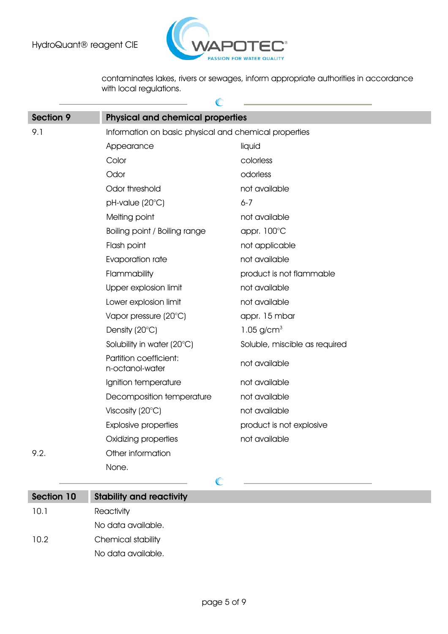

contaminates lakes, rivers or sewages, inform appropriate authorities in accordance with local regulations.

| Section 9 | <b>Physical and chemical properties</b>               |                               |
|-----------|-------------------------------------------------------|-------------------------------|
| 9.1       | Information on basic physical and chemical properties |                               |
|           | Appearance                                            | liquid                        |
|           | Color                                                 | colorless                     |
|           | Odor                                                  | odorless                      |
|           | Odor threshold                                        | not available                 |
|           | pH-value (20°C)                                       | $6 - 7$                       |
|           | Melting point                                         | not available                 |
|           | Boiling point / Boiling range                         | appr. 100°C                   |
|           | Flash point                                           | not applicable                |
|           | Evaporation rate                                      | not available                 |
|           | Flammability                                          | product is not flammable      |
|           | Upper explosion limit                                 | not available                 |
|           | Lower explosion limit                                 | not available                 |
|           | Vapor pressure (20°C)                                 | appr. 15 mbar                 |
|           | Density (20°C)                                        | 1.05 $g/cm^{3}$               |
|           | Solubility in water (20°C)                            | Soluble, miscible as required |
|           | Partition coefficient:<br>n-octanol-water             | not available                 |
|           | Ignition temperature                                  | not available                 |
|           | Decomposition temperature                             | not available                 |
|           | Viscosity $(20^{\circ}C)$                             | not available                 |
|           | <b>Explosive properties</b>                           | product is not explosive      |
|           | Oxidizing properties                                  | not available                 |
| 9.2.      | Other information                                     |                               |
|           | None.                                                 |                               |
|           |                                                       |                               |

| Section 10 | <b>Stability and reactivity</b> |
|------------|---------------------------------|
| 10.1       | Reactivity                      |
|            | No data available.              |
| 10.2       | Chemical stability              |
|            | No data available.              |
|            |                                 |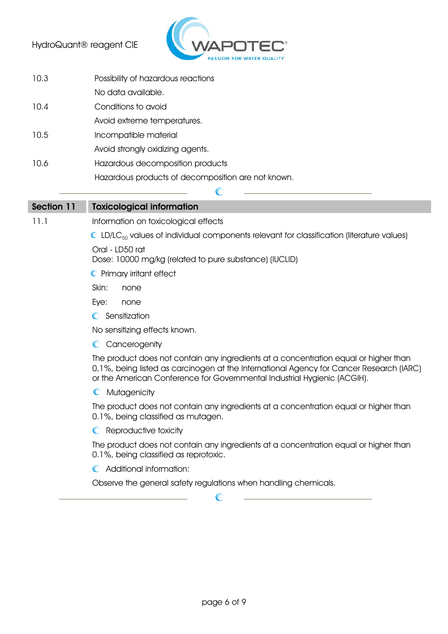

| 10.3       | Possibility of hazardous reactions                 |
|------------|----------------------------------------------------|
|            | No data available.                                 |
| 10.4       | Conditions to avoid                                |
|            | Avoid extreme temperatures.                        |
| 10.5       | Incompatible material                              |
|            | Avoid strongly oxidizing agents.                   |
| 10.6       | Hazardous decomposition products                   |
|            | Hazardous products of decomposition are not known. |
|            |                                                    |
| Section 11 | <b>Toxicological information</b>                   |
|            |                                                    |

11.1 Information on toxicological effects

 $\mathbb{C}$  LD/LC<sub>50</sub> values of individual components relevant for classification (literature values)

Oral - LD50 rat

Dose: 10000 mg/kg (related to pure substance) (IUCLID)

- **C** Primary irritant effect
- Skin: none
- Eye: none
- **C** Sensitization

No sensitizing effects known.

C Cancerogenity

The product does not contain any ingredients at a concentration equal or higher than 0,1%, being listed as carcinogen at the International Agency for Cancer Research (IARC) or the American Conference for Governmental Industrial Hygienic (ACGIH).

**C** Mutagenicity

The product does not contain any ingredients at a concentration equal or higher than 0.1%, being classified as mutagen.

**C** Reproductive toxicity

The product does not contain any ingredients at a concentration equal or higher than 0.1%, being classified as reprotoxic.

**C** Additional information:

Observe the general safety regulations when handling chemicals.

 $\mathbb{C}$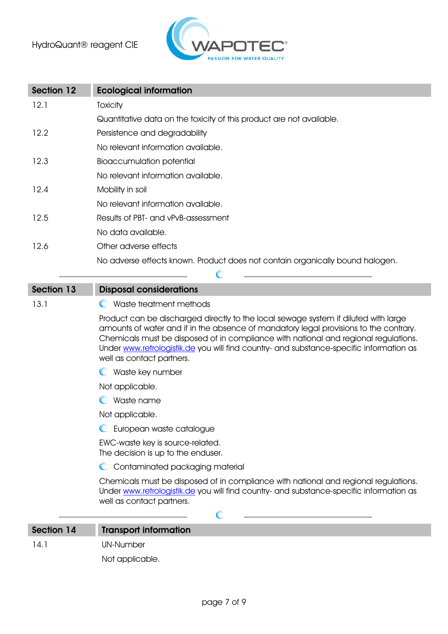

| <b>Section 12</b> | <b>Ecological information</b>                                                                                                                                                                                                                                                                                                                                                               |
|-------------------|---------------------------------------------------------------------------------------------------------------------------------------------------------------------------------------------------------------------------------------------------------------------------------------------------------------------------------------------------------------------------------------------|
| 12.1              | Toxicity                                                                                                                                                                                                                                                                                                                                                                                    |
|                   | Quantitative data on the toxicity of this product are not available.                                                                                                                                                                                                                                                                                                                        |
| 12.2              | Persistence and degradability                                                                                                                                                                                                                                                                                                                                                               |
|                   | No relevant information available.                                                                                                                                                                                                                                                                                                                                                          |
| 12.3              | <b>Bioaccumulation potential</b>                                                                                                                                                                                                                                                                                                                                                            |
|                   | No relevant information available.                                                                                                                                                                                                                                                                                                                                                          |
| 12.4              | Mobility in soil                                                                                                                                                                                                                                                                                                                                                                            |
|                   | No relevant information available.                                                                                                                                                                                                                                                                                                                                                          |
| 12.5              | Results of PBT- and vPvB-assessment                                                                                                                                                                                                                                                                                                                                                         |
|                   | No data available.                                                                                                                                                                                                                                                                                                                                                                          |
| 12.6              | Other adverse effects                                                                                                                                                                                                                                                                                                                                                                       |
|                   | No adverse effects known. Product does not contain organically bound halogen.                                                                                                                                                                                                                                                                                                               |
|                   | C                                                                                                                                                                                                                                                                                                                                                                                           |
| <b>Section 13</b> | <b>Disposal considerations</b>                                                                                                                                                                                                                                                                                                                                                              |
| 13.1              | C Waste treatment methods                                                                                                                                                                                                                                                                                                                                                                   |
|                   | Product can be discharged directly to the local sewage system if diluted with large<br>amounts of water and if in the absence of mandatory legal provisions to the contrary.<br>Chemicals must be disposed of in compliance with national and regional regulations.<br>Under www.retrologistik.de you will find country- and substance-specific information as<br>well as contact partners. |
|                   | Waste key number                                                                                                                                                                                                                                                                                                                                                                            |
|                   | Not applicable.                                                                                                                                                                                                                                                                                                                                                                             |
|                   | Waste name                                                                                                                                                                                                                                                                                                                                                                                  |
|                   | Not applicable.                                                                                                                                                                                                                                                                                                                                                                             |
|                   | European waste catalogue                                                                                                                                                                                                                                                                                                                                                                    |
|                   | EWC-waste key is source-related.<br>The decision is up to the enduser.                                                                                                                                                                                                                                                                                                                      |
|                   | Contaminated packaging material                                                                                                                                                                                                                                                                                                                                                             |
|                   | Chemicals must be disposed of in compliance with national and regional regulations.<br>Under www.retrologistik.de you will find country- and substance-specific information as<br>well as contact partners.                                                                                                                                                                                 |
|                   | C                                                                                                                                                                                                                                                                                                                                                                                           |
| Section 14        | <b>Transport information</b>                                                                                                                                                                                                                                                                                                                                                                |
| 14.1              | <b>UN-Number</b>                                                                                                                                                                                                                                                                                                                                                                            |

Not applicable.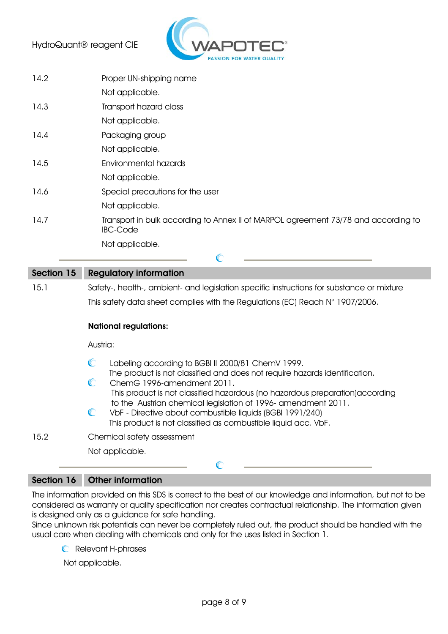

| 14.2       | Proper UN-shipping name                                                                                                                                                                        |
|------------|------------------------------------------------------------------------------------------------------------------------------------------------------------------------------------------------|
|            | Not applicable.                                                                                                                                                                                |
| 14.3       | Transport hazard class                                                                                                                                                                         |
|            | Not applicable.                                                                                                                                                                                |
| 14.4       | Packaging group                                                                                                                                                                                |
|            | Not applicable.                                                                                                                                                                                |
| 14.5       | <b>Environmental hazards</b>                                                                                                                                                                   |
|            | Not applicable.                                                                                                                                                                                |
| 14.6       | Special precautions for the user                                                                                                                                                               |
|            | Not applicable.                                                                                                                                                                                |
| 14.7       | Transport in bulk according to Annex II of MARPOL agreement 73/78 and according to<br><b>IBC-Code</b>                                                                                          |
|            | Not applicable.                                                                                                                                                                                |
|            |                                                                                                                                                                                                |
|            | $\mathbb{C}$                                                                                                                                                                                   |
| Section 15 | <b>Regulatory information</b>                                                                                                                                                                  |
| 15.1       | Safety-, health-, ambient- and legislation specific instructions for substance or mixture                                                                                                      |
|            | This safety data sheet complies with the Regulations (EC) Reach $N^{\circ}$ 1907/2006.                                                                                                         |
|            | <b>National regulations:</b>                                                                                                                                                                   |
|            | Austria:                                                                                                                                                                                       |
|            | $\mathbb{C}$<br>Labeling according to BGBI II 2000/81 ChemV 1999.                                                                                                                              |
|            | The product is not classified and does not require hazards identification.<br>C<br>ChemG 1996-amendment 2011.<br>This product is not classified hazardous (no hazardous preparation) according |

15.2 Chemical safety assessment

Not applicable.

## Section 16 Other information

The information provided on this SDS is correct to the best of our knowledge and information, but not to be considered as warranty or quality specification nor creates contractual relationship. The information given is designed only as a guidance for safe handling.

 $\mathbb{C}$ 

Since unknown risk potentials can never be completely ruled out, the product should be handled with the usual care when dealing with chemicals and only for the uses listed in Section 1.

Relevant H-phrases

Not applicable.